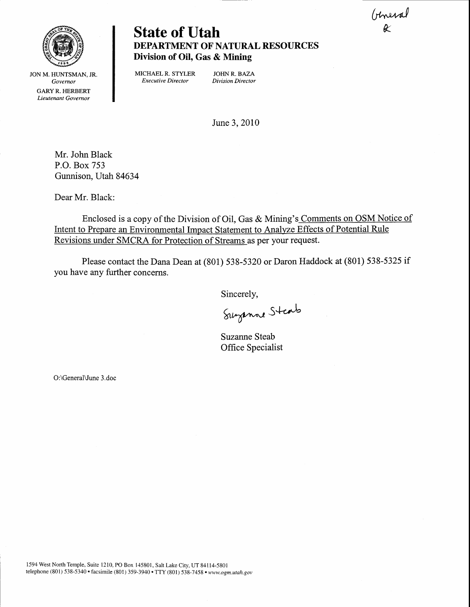Uneral



**State of Utah** DEPARTMENT OF NATURAL RESOURCES Division of Oil, Gas & Mining

JON M. HUNTSMAN. JR. Governor GARY R. HERBERT Lieutenant Governor

MICHAEL R. STYLER JOHN R. BAZA<br> *Executive Director Division Director* Executive Director

June 3,2010

Mr. John Black P.O. Box 753 Gunnison, Utah 84634

Dear Mr. Black:

Enclosed is a copy of the Division of Oil, Gas & Mining's Comments on OSM Notic Intent to Prepare an Environmental Impact Statement to Analyze Effects of Potential Rule Revisions under SMCRA for Protection of Streams as per your request.

Please contact the Dana Dean at (801) 538-5320 or Daron Haddock at (801) 538-5325 if you have any further concerns.

Sincerely,

Suzanne Staats

Suzanne Steab Office Specialist

O:\GeneralVune 3.doc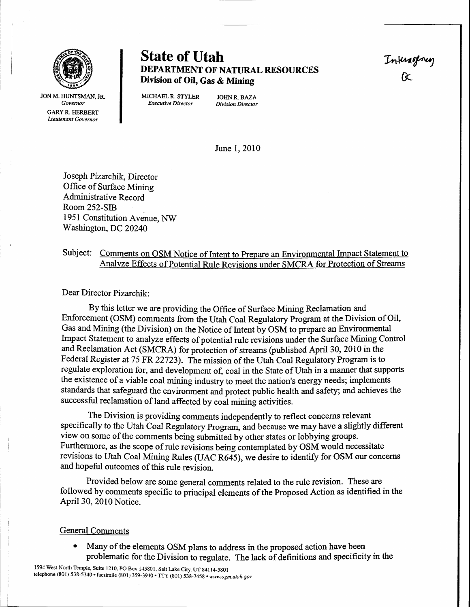

JON M. HUNTSMAN, JR. **Governor GARY R. HERBERT** Lieutenant Governor

State of Utah The Thinghay<br>DEPARTMENT OF NATURAL RESOURCES Thing<br>Division of Oil Gas & Mining DEPARTMENT OF NATURAL RESOURCES Division of Oil, Gas & Mining

MICHAEL R. STYLER JOHN R. BAZA<br>Executive Director Division Director Executive Director

June 1,2010

Joseph Pizarchik, Director Office of Surface Mining Administrative Record Room 252-SIB 1951 Constitution Avenue, NW Washington, DC 20240

## Subject: Comments on OSM Notice of Intent to Prepare an Environmental Impact Statement to Analyze Effects of Potential Rule Revisions under SMCRA for Protection of Streams

Dear Director pizarchik:

By this letter we are providing the Office of Surface Mining Reclamation and Enforcement (OSM) comrnents from the Utah Coal Regulatory Program at the Division of Oil, Gas and Mining (the Division) on the Notice of Intent by OSM to prepare an Environmental Impact Statement to analyze effects of potential rule revisions under the Surface Mining Control and Reclamation Act (SMCRA) for protection of streams (published April 30, 2010 in the Federal Register at 75 FR 22723). The mission of the Utah Coal Regulatory Program is to regulate exploration for, and development of, coal in the State of Utah in a manner that supports the existence of a viable coal mining industry to meet the nation's energy needs; implements standards that safeguard the environment and protect public health and safety; and achieves the successful reclamation of land affected by coal mining activities.

The Division is providing comments independently to reflect concerns relevant specifically to the Utah Coal Regulatory Program, and because we may have a slightly different view on some of the comments being submitted by other states or lobbying groups. Furthermore, as the scope of rule revisions being contemplated by OSM would necessitate revisions to Utah Coal Mining Rules (UAC R645), we desire to identify for OSM our concerns and hopeful outcomes of this rule revision.

Provided below are some general comments related to the rule revision. These are followed by comments specific to principal elements of the Proposed Action as identified in the April 30, 2010 Notice.

#### General Comments

Many of the elements OSM plans to address in the proposed action have been problematic for the Division to regulate. The lack of definitions and specificity in the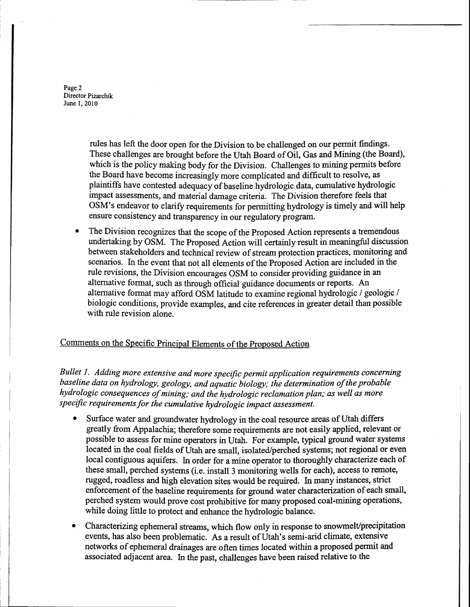Page 2 Director Pizarchik June 1,2010

> rules has left the door open for the Division to be challenged on our permit findings. These challenges are brought before the Utah Board of Oil, Gas and Mining (the Board), which is the policy making body for the Division. Challenges to mining permits before the Board have become increasingly more complicated and difficult to resolve, as plaintiffs have contested adequacy of baseline hydrologic data, cumulative hydrologic impact assessments, and material damage criteria. The Division therefore feels that OSM's endeavor to clarify requirements for permitting hydrology is timely and will help ensure consistency and transparency in our regulatory program.

. The Division recognizes that the scope of the Proposed Action represents a tremendous undertaking by OSM. The Proposed Action will certainly result in meaningful discussion between stakeholders and technical review of stream protection practices, monitoring and scenarios. In the event that not all elements of the Proposed Action are included in the rule revisions, the Division encourages OSM to consider providing guidance in an alternative format, such as through official guidance documents or reports. An alternative format may afford OSM latitude to examine regional hydrologic / geologic / biologic conditions, provide examples, and cite references in greater detail than possible with rule revision alone.

### Comments on the Specific Principal Elements of the Proposed Action

Bullet 1. Adding more extensive and more specific permit application requirements concerning baseline data on hydrology, geology, and aquatic biology; the determination of the probable hydrologic consequences of mining; and the hydrologic reclamation plan; as well as more specific requirements for the cumulative hydrologic impact assessment.

- Surface water and groundwater hydrology in the coal resource areas of Utah differs greatly from Appalachia; therefore some requirements are not easily applied, relevant or possible to assess for mine operators in Utah. For example, typical ground water systems located in the coal fields of Utah are small, isolated/perched systems; not regional or even local contiguous aquifers. In order for a mine operator to thoroughly characterize each of these small, perched systems (i.e, install 3 monitoring wells for each), access to remote, rugged, roadless and high elevation sites would be required. In many instances, strict enforcement of the baseline requirements for ground water characterization of each small, perched system would prove cost prohibitive for many proposed coal-mining operations, while doing little to protect and enhance the hydrologic balance.
- Characterizing ephemeral streams, which flow only in response to snowmelt/precipitation events, has also been problematic. As a result of Utah's semi-arid climate, extensive networks of ephemeral drainages are often times located within a proposed permit and associated adjacent area. In the past, challenges have been raised relative to the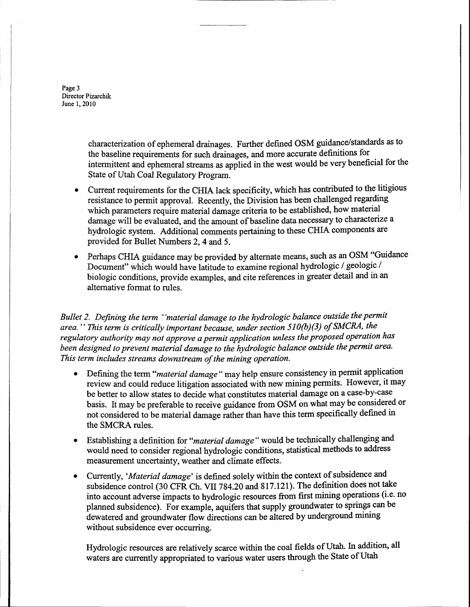Page 3 Director Pizarchik June 1,2010

> characterization of ephemeral drainages. Further defined OSM guidance/standards as to the baseline requirements for such drainages, and more accurate definitions for intermittent and ephemeral streams as applied in the west would be very beneficial for the State of Utah Coal Regulatory Program.

- Current requirements for the CHIA lack specificity, which has contributed to the litigious resistance to permit approval. Recently, the Division has been challenged regarding which parameters require material damage criteria to be established, how material damage will be evaluated, and the amount of baseline data necessary to characterize a hydrologic system. Additional comments pertaining to these CHIA components are provided for Bullet Numbers 2,4 and 5.
- Perhaps CHIA guidance may be provided by alternate means, such as an OSM "Guidance Document" which would have latitude to examine regional hydrologic / geologic / biologic conditions, provide examples, and cite references in greater detail and in an alternative format to rules.

Bullet 2. Defining the term "material damage to the hydrologic balance outside the permit area." This term is critically important because, under section 510(b)(3) of SMCRA, the regulatory authority may not approve a permit application unless the proposed operation has been designed to prevent material damage to the hydrologic balance outside the permit area. This term includes streams downstream of the mining operation.

- . Defining the term "material damage" may help ensure consistency in permit application review and could reduce litigation associated with new mining permits. However, it may be better to allow states to decide what constitutes material damage on a case-by-case basis. It may be preferable to receive guidance from OSM on what may be considered or not considered to be material damage rather than have this term specifically defined in the SMCRA rules.
- . Establishing a definition for "material damage" would be technically challenging and would need to consider regional hydrologic conditions, statistical methods to address measurement uncertainty, weather and climate effects.
- . Currently,'Material damage' is defined solely within the context of subsidence and subsidence control (30 CFR Ch. VII 784.20 and 817.121). The definition does not take into account adverse impacts to hydrologic resources from first mining operations (i.e- no planned subsidence). For example, aquifers that supply groundwater to springs can be dewatered and groundwater flow directions can be altered by underground mining without subsidence ever occurring.

Hydrologic resources are relatively scarce within the coal fields of Utah. In addition, all waters are currently appropriated to various water users through the State of Utah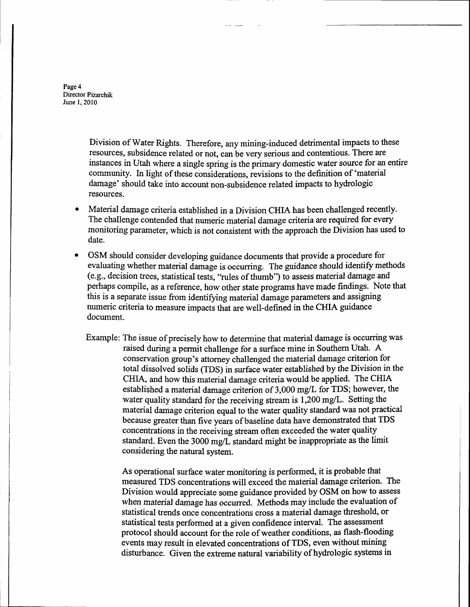Page 4 Director Pizarchik June 1,2010

> Division of Water Rights. Therefore, any mining-induced detrimental impacts to these resources, subsidence related or not, can be very serious and contentious. There are instances in Utah where a single spring is the primary domestic water source for an entire community. In light of these considerations, revisions to the definition of 'material damage' should take into account non-subsidence related impacts to hydrologic resources.

- Material damage criteria established in a Division CHIA has been challenged recently. The challenge contended that numeric material damage criteria are required for every monitoring parameter, which is not consistent with the approach the Division has used to date.
- OSM should consider developing guidance documents that provide a procedure for evaluating whether material damage is occurring. The guidance should identify methods (e.g., decision trees, statistical tests, "rules of thumb") to assess material damage and perhaps compile, as a reference, how other state programs have made findings. Note that this is a separate issue from identifying material damage parameters and assigning numeric criteria to measure impacts that are well-defined in the CHIA guidance document.
	- Example: The issue of precisely how to determine that material damage is occurring was raised during a permit challenge for a surface mine in Southern Utah. A conservation group's attorney challenged the material damage criterion for total dissolved solids (TDS) in surface water established by the Division in the CHIA, and how this material damage criteria would be applied. The CHIA established a material damage criterion of 3,000 mg/L for TDS; however, the water quality standard for the receiving stream is  $1,200 \text{ mg/L}$ . Setting the material damage criterion equal to the water quality standard was not practical because greater than five years of baseline data have demonstrated that TDS concentrations in the receiving stream often exceeded the water quality standard. Even the  $3000 \text{ mg/L}$  standard might be inappropriate as the limit considering the natural system.

As operational surface water monitoring is performed, it is probable that measured TDS concentrations will exceed the material damage criterion. The Division would appreciate some guidance provided by OSM on how to assess when material damage has occurred. Methods may include the evaluation of statistical trends once concentrations cross a material damage threshold, or statistical tests performed at a given confidence interval. The assessment protocol should account for the role of weather conditions, as flash-flooding events may result in elevated concentrations of TDS, even without mining disturbance. Given the extreme natural variability of hydrologic systems in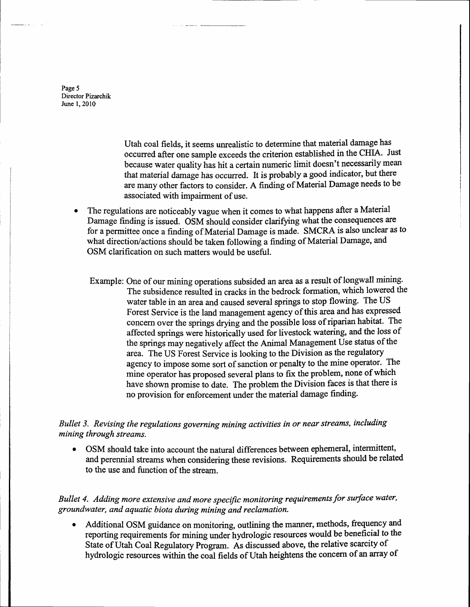Page 5 Director Pizarchik June 1,2010

> Utah coal fields, it seems unrealistic to determine that material damage has occurred after one sample exceeds the criterion established in the CHIA. Just because water quality has hit a certain numeric limit doesn't necessarily mean that material damage has occurred, It is probably a good indicator, but there are many other faciors to consider. A finding of Material Damage needs to be associated with impairment of use.

- The regulations are noticeably vague when it comes to what happens after a Material Damage finding is issued. OSM should consider clariffing what the consequences are for a permittee once a finding of Material Damage is made. SMCRA is also unclear as to what direction/actions should be taken following a finding of Material Damage, and OSM clarification on such matters would be useful.
	- Example: One of our mining operations subsided an area as a result of longwall mining. The subsidence resulted in cracks in the bedrock formation, which lowered the water table in an area and caused several springs to stop flowing. The US Forest Service is the land management agency of this area and has expressed concern over the springs drying and the possible loss of riparian habitat. The affected springs were historicaily used for livestock watering, and the loss of the springs may negatively affect the Animal Management Use status of the area. The US Forest Service is looking to the Division as the regulatory agency to impose some sort of sanction or penalty to the mine operator. The mine operator has proposed several plans to fix the problem, none of which have shown promise to date. The problem the Division faces is that there is no provision for enforcement under the material damage finding.

Bullet 3. Revising the regulations governing mining activities in or near streams, including mining through streams.

• OSM should take into account the natural differences between ephemeral, intermittent, and perennial streams when considering these revisions. Requirements should be related to the use and function of the stream.

Bullet 4. Adding more extensive and more specific monitoring requirements for surface water, groundwater, and aquatic biota during mining and reclamation.

Additional OSM guidance on monitoring, outlining the manner, methods, frequency and reporting requirements for mining under hydrologic resources would be beneficial to the State of Utah Coal Regulatory Program. As discussed above, the relative scarcity of hydrologic resources within the "\*t fields of Utah heightens the concern of an array of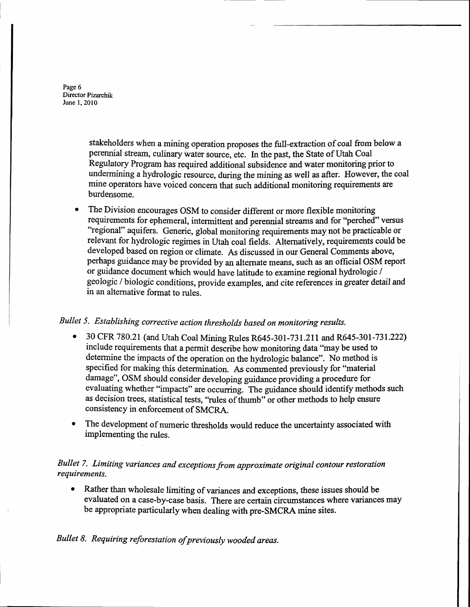Page 6 Director Pizarchik June 1,2010

> stakeholders when a mining operation proposes the full-extraction of coal from below a perennial stream, culinary water source, etc. In the past, the State of Utah Coal Regulatory Program has required additional subsidence and water monitoring prior to undermining a hydrologic resource, during the mining as well as after. However, the coal mine operators have voiced concern that such additional monitoring requirements are burdensome.

The Division encourages OSM to consider different or more flexible monitoring requirements for ephemeral, intermittent and perennial streams and for "perched" versus "regional" aquifers. Generic, global monitoring requirements may not be practicable or relevant for hydrologic regimes in Utah coal fields. Alternatively, requirements could be developed based on region or climate. As discussed in our General Comments above, perhaps guidance may be provided by an alternate means, such as an official OSM report or guidance document which would have latitude to examine regional hydrologic / geologic / biotogic conditions, provide examples, and cite references in greater detail and in an alternative format to rules.

# Bullet 5. Establishing corrective action thresholds based on monitoring results.

- 30 CFR 780.21 (and Utah Coal Mining Rules R645-301-731.211 and R645-301-731.222) include requirements that a permit describe how monitoring data "may be used to determine the impacts of the operation on the hydrologic balance". No method is specified for making this determination. As commented previously for "material damage", OSM should consider developing guidance providing a procedure for evaluating whether "impacts" are occuring. The guidance should identify methods such as decision trees, statistical tests, "rules of thumb" or other methods to help ensure consistency in enforcement of SMCRA.
- The development of numeric thresholds would reduce the uncertainty associated with implementing the rules.

### Bullet 7. Limiting variances and exceptions from approximate original contour restoration requirements.

• Rather than wholesale limiting of variances and exceptions, these issues should be evaluated on a case-by-case basis. There are certain circumstances where variances may be appropriate particularly when dealing with pre-SMCRA mine sites.

Bullet B. Requiring reforestation of previously wooded areas.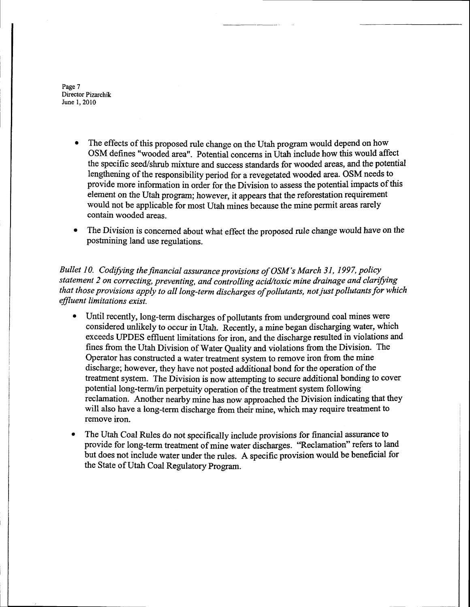Page 7 Director Pizarchik June 1,2010

- The effects of this proposed rule change on the Utah program would depend on how OSM defines "wooded area''. Potential concerns in Utah include how this would affect the specific seed/shrub mixture and success standards for wooded areas, and the potential lengthening of the responsibility period for a revegetated wooded area. OSM needs to provide more information in order for the Division to assess the potential impacts of this element on the Utah program; however, it appears that the reforestation requirement would not be applicable for most Utah mines because the mine permit areas rarely contain wooded areas.
- The Division is concerned about what effect the proposed rule change would have on the postmining land use regulations.

Bullet 10. Codifying the financial assurance provisions of OSM's March 31, 1997, policy statement 2 on correcting, preventing, and controlling acid/toxic mine drainage and clarifying that those provisions apply to all long-term discharges of pollutants, not just pollutants for which effIuent limitations exist.

- Until recently, long-term discharges of pollutants from underground coal mines were considered unlikely to occur in Utah. Recently, a mine began discharging water, which exceeds UPDES effluent limitations for iron, and the discharge resulted in violations and fines from the Utah Division of Water Quality and violations from the Division. The Operator has constructed a water treatment system to remove iron from the mine discharge; however, they have not posted additional bond for the operation of the treatnent system. The Division is now attempting to secure additional bonding to cover potential long-terrn/in perpetuity operation of the treatment systern following reclamation. Another nearby mine has now approached the Division indicating that they will also have a long-term discharge from their mine, which may require treatment to remove iron.
- The Utah Coal Rules do not specifically include provisions for financial assurance to provide for long-term treatnent of mine water discharges. 'Reclamation" refers to land but does not include water under the rules. A specific provision would be beneficial for the State of Utah Coal Regulatory Program.